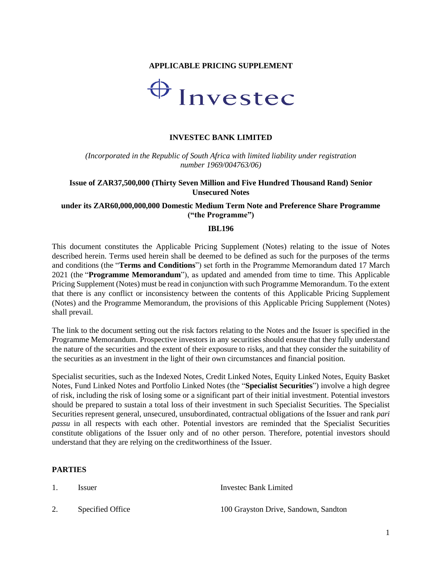### **APPLICABLE PRICING SUPPLEMENT**



#### **INVESTEC BANK LIMITED**

*(Incorporated in the Republic of South Africa with limited liability under registration number 1969/004763/06)*

#### **Issue of ZAR37,500,000 (Thirty Seven Million and Five Hundred Thousand Rand) Senior Unsecured Notes**

#### **under its ZAR60,000,000,000 Domestic Medium Term Note and Preference Share Programme ("the Programme")**

#### **IBL196**

This document constitutes the Applicable Pricing Supplement (Notes) relating to the issue of Notes described herein. Terms used herein shall be deemed to be defined as such for the purposes of the terms and conditions (the "**Terms and Conditions**") set forth in the Programme Memorandum dated 17 March 2021 (the "**Programme Memorandum**"), as updated and amended from time to time. This Applicable Pricing Supplement (Notes) must be read in conjunction with such Programme Memorandum. To the extent that there is any conflict or inconsistency between the contents of this Applicable Pricing Supplement (Notes) and the Programme Memorandum, the provisions of this Applicable Pricing Supplement (Notes) shall prevail.

The link to the document setting out the risk factors relating to the Notes and the Issuer is specified in the Programme Memorandum. Prospective investors in any securities should ensure that they fully understand the nature of the securities and the extent of their exposure to risks, and that they consider the suitability of the securities as an investment in the light of their own circumstances and financial position.

Specialist securities, such as the Indexed Notes, Credit Linked Notes, Equity Linked Notes, Equity Basket Notes, Fund Linked Notes and Portfolio Linked Notes (the "**Specialist Securities**") involve a high degree of risk, including the risk of losing some or a significant part of their initial investment. Potential investors should be prepared to sustain a total loss of their investment in such Specialist Securities. The Specialist Securities represent general, unsecured, unsubordinated, contractual obligations of the Issuer and rank *pari passu* in all respects with each other. Potential investors are reminded that the Specialist Securities constitute obligations of the Issuer only and of no other person. Therefore, potential investors should understand that they are relying on the creditworthiness of the Issuer.

### **PARTIES**

1. Issuer Invested Bank Limited 2. Specified Office 100 Grayston Drive, Sandown, Sandton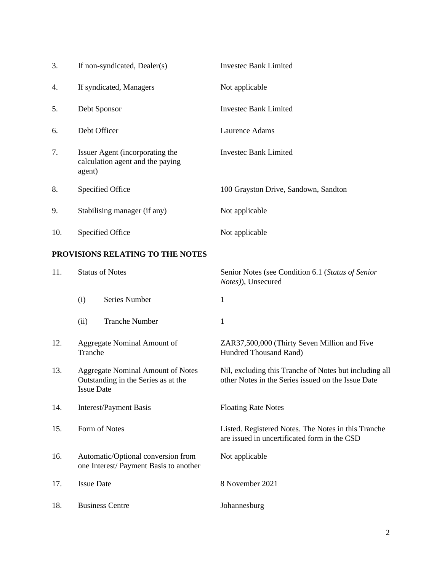| 3.  | If non-syndicated, Dealer(s)                                                  | <b>Investec Bank Limited</b>         |
|-----|-------------------------------------------------------------------------------|--------------------------------------|
| 4.  | If syndicated, Managers                                                       | Not applicable                       |
| 5.  | Debt Sponsor                                                                  | Investec Bank Limited                |
| 6.  | Debt Officer                                                                  | Laurence Adams                       |
| 7.  | Issuer Agent (incorporating the<br>calculation agent and the paying<br>agent) | <b>Investec Bank Limited</b>         |
| 8.  | Specified Office                                                              | 100 Grayston Drive, Sandown, Sandton |
| 9.  | Stabilising manager (if any)                                                  | Not applicable                       |
| 10. | Specified Office                                                              | Not applicable                       |

## **PROVISIONS RELATING TO THE NOTES**

| 11. | <b>Status of Notes</b>                                                                               |                             | Senior Notes (see Condition 6.1 (Status of Senior<br>Notes)), Unsecured                                      |  |
|-----|------------------------------------------------------------------------------------------------------|-----------------------------|--------------------------------------------------------------------------------------------------------------|--|
|     | (i)                                                                                                  | Series Number               | 1                                                                                                            |  |
|     | (ii)                                                                                                 | <b>Tranche Number</b>       | $\mathbf{1}$                                                                                                 |  |
| 12. | Tranche                                                                                              | Aggregate Nominal Amount of | ZAR37,500,000 (Thirty Seven Million and Five<br>Hundred Thousand Rand)                                       |  |
| 13. | <b>Aggregate Nominal Amount of Notes</b><br>Outstanding in the Series as at the<br><b>Issue Date</b> |                             | Nil, excluding this Tranche of Notes but including all<br>other Notes in the Series issued on the Issue Date |  |
| 14. | <b>Interest/Payment Basis</b>                                                                        |                             | <b>Floating Rate Notes</b>                                                                                   |  |
| 15. | Form of Notes                                                                                        |                             | Listed. Registered Notes. The Notes in this Tranche<br>are issued in uncertificated form in the CSD          |  |
| 16. | Automatic/Optional conversion from<br>one Interest/ Payment Basis to another                         |                             | Not applicable                                                                                               |  |
| 17. | <b>Issue Date</b>                                                                                    |                             | 8 November 2021                                                                                              |  |
| 18. |                                                                                                      | <b>Business Centre</b>      | Johannesburg                                                                                                 |  |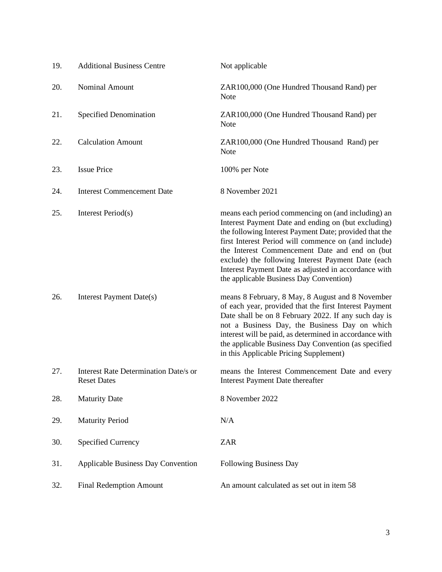| 19. | <b>Additional Business Centre</b>                                  | Not applicable                                                                                                                                                                                                                                                                                                                                                                                                                         |
|-----|--------------------------------------------------------------------|----------------------------------------------------------------------------------------------------------------------------------------------------------------------------------------------------------------------------------------------------------------------------------------------------------------------------------------------------------------------------------------------------------------------------------------|
| 20. | <b>Nominal Amount</b>                                              | ZAR100,000 (One Hundred Thousand Rand) per<br><b>Note</b>                                                                                                                                                                                                                                                                                                                                                                              |
| 21. | <b>Specified Denomination</b>                                      | ZAR100,000 (One Hundred Thousand Rand) per<br>Note                                                                                                                                                                                                                                                                                                                                                                                     |
| 22. | <b>Calculation Amount</b>                                          | ZAR100,000 (One Hundred Thousand Rand) per<br><b>Note</b>                                                                                                                                                                                                                                                                                                                                                                              |
| 23. | <b>Issue Price</b>                                                 | 100% per Note                                                                                                                                                                                                                                                                                                                                                                                                                          |
| 24. | <b>Interest Commencement Date</b>                                  | 8 November 2021                                                                                                                                                                                                                                                                                                                                                                                                                        |
| 25. | Interest Period(s)                                                 | means each period commencing on (and including) an<br>Interest Payment Date and ending on (but excluding)<br>the following Interest Payment Date; provided that the<br>first Interest Period will commence on (and include)<br>the Interest Commencement Date and end on (but<br>exclude) the following Interest Payment Date (each<br>Interest Payment Date as adjusted in accordance with<br>the applicable Business Day Convention) |
| 26. | Interest Payment Date(s)                                           | means 8 February, 8 May, 8 August and 8 November<br>of each year, provided that the first Interest Payment<br>Date shall be on 8 February 2022. If any such day is<br>not a Business Day, the Business Day on which<br>interest will be paid, as determined in accordance with<br>the applicable Business Day Convention (as specified<br>in this Applicable Pricing Supplement)                                                       |
| 27. | <b>Interest Rate Determination Date/s or</b><br><b>Reset Dates</b> | means the Interest Commencement Date and every<br>Interest Payment Date thereafter                                                                                                                                                                                                                                                                                                                                                     |
| 28. | <b>Maturity Date</b>                                               | 8 November 2022                                                                                                                                                                                                                                                                                                                                                                                                                        |
| 29. | <b>Maturity Period</b>                                             | N/A                                                                                                                                                                                                                                                                                                                                                                                                                                    |
| 30. | <b>Specified Currency</b>                                          | <b>ZAR</b>                                                                                                                                                                                                                                                                                                                                                                                                                             |
| 31. | <b>Applicable Business Day Convention</b>                          | Following Business Day                                                                                                                                                                                                                                                                                                                                                                                                                 |
| 32. | <b>Final Redemption Amount</b>                                     | An amount calculated as set out in item 58                                                                                                                                                                                                                                                                                                                                                                                             |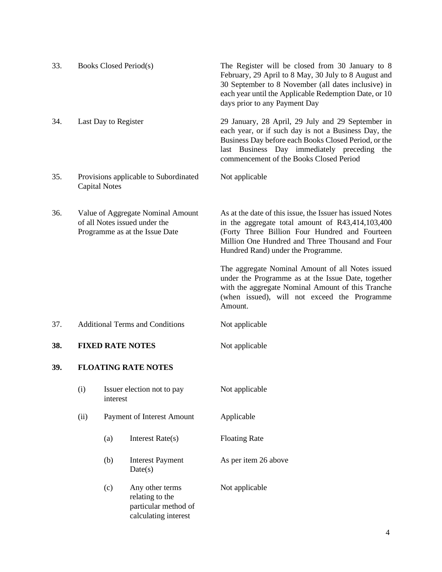| 33. |                                                                                                      |                      | Books Closed Period(s)                                                             | The Register will be closed from 30 January to 8<br>February, 29 April to 8 May, 30 July to 8 August and<br>30 September to 8 November (all dates inclusive) in<br>each year until the Applicable Redemption Date, or 10<br>days prior to any Payment Day      |
|-----|------------------------------------------------------------------------------------------------------|----------------------|------------------------------------------------------------------------------------|----------------------------------------------------------------------------------------------------------------------------------------------------------------------------------------------------------------------------------------------------------------|
| 34. |                                                                                                      | Last Day to Register |                                                                                    | 29 January, 28 April, 29 July and 29 September in<br>each year, or if such day is not a Business Day, the<br>Business Day before each Books Closed Period, or the<br>last Business Day immediately preceding<br>the<br>commencement of the Books Closed Period |
| 35. |                                                                                                      | <b>Capital Notes</b> | Provisions applicable to Subordinated                                              | Not applicable                                                                                                                                                                                                                                                 |
| 36. | Value of Aggregate Nominal Amount<br>of all Notes issued under the<br>Programme as at the Issue Date |                      |                                                                                    | As at the date of this issue, the Issuer has issued Notes<br>in the aggregate total amount of R43,414,103,400<br>(Forty Three Billion Four Hundred and Fourteen<br>Million One Hundred and Three Thousand and Four<br>Hundred Rand) under the Programme.       |
|     |                                                                                                      |                      |                                                                                    | The aggregate Nominal Amount of all Notes issued<br>under the Programme as at the Issue Date, together<br>with the aggregate Nominal Amount of this Tranche<br>(when issued), will not exceed the Programme<br>Amount.                                         |
| 37. |                                                                                                      |                      | <b>Additional Terms and Conditions</b>                                             | Not applicable                                                                                                                                                                                                                                                 |
| 38. | <b>FIXED RATE NOTES</b>                                                                              |                      |                                                                                    | Not applicable                                                                                                                                                                                                                                                 |
| 39. |                                                                                                      |                      | <b>FLOATING RATE NOTES</b>                                                         |                                                                                                                                                                                                                                                                |
|     | (i)                                                                                                  | interest             | Issuer election not to pay                                                         | Not applicable                                                                                                                                                                                                                                                 |
|     | (ii)                                                                                                 |                      | Payment of Interest Amount                                                         | Applicable                                                                                                                                                                                                                                                     |
|     |                                                                                                      | (a)                  | Interest Rate(s)                                                                   | <b>Floating Rate</b>                                                                                                                                                                                                                                           |
|     |                                                                                                      | (b)                  | <b>Interest Payment</b><br>Date(s)                                                 | As per item 26 above                                                                                                                                                                                                                                           |
|     |                                                                                                      | (c)                  | Any other terms<br>relating to the<br>particular method of<br>calculating interest | Not applicable                                                                                                                                                                                                                                                 |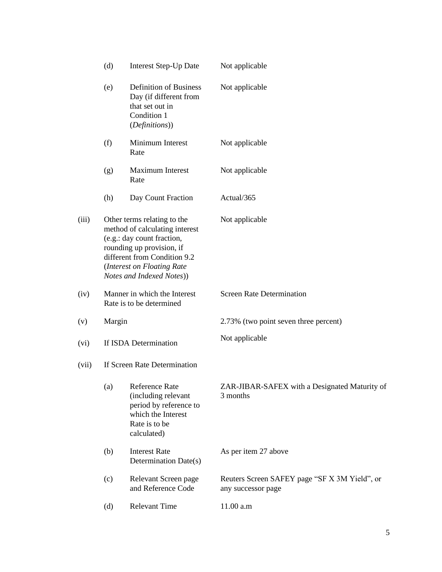|       | (d)                                                                                                                                                                                                                 | <b>Interest Step-Up Date</b>                                                                                          | Not applicable                                                      |
|-------|---------------------------------------------------------------------------------------------------------------------------------------------------------------------------------------------------------------------|-----------------------------------------------------------------------------------------------------------------------|---------------------------------------------------------------------|
|       | (e)                                                                                                                                                                                                                 | <b>Definition of Business</b><br>Day (if different from<br>that set out in<br>Condition 1<br>(Definitions))           | Not applicable                                                      |
|       | (f)                                                                                                                                                                                                                 | Minimum Interest<br>Rate                                                                                              | Not applicable                                                      |
|       | (g)                                                                                                                                                                                                                 | Maximum Interest<br>Rate                                                                                              | Not applicable                                                      |
|       | (h)                                                                                                                                                                                                                 | Day Count Fraction                                                                                                    | Actual/365                                                          |
| (iii) | Other terms relating to the<br>method of calculating interest<br>(e.g.: day count fraction,<br>rounding up provision, if<br>different from Condition 9.2<br>(Interest on Floating Rate<br>Notes and Indexed Notes)) |                                                                                                                       | Not applicable                                                      |
| (iv)  | Manner in which the Interest<br>Rate is to be determined                                                                                                                                                            |                                                                                                                       | <b>Screen Rate Determination</b>                                    |
| (v)   | Margin                                                                                                                                                                                                              |                                                                                                                       | 2.73% (two point seven three percent)                               |
| (vi)  | If ISDA Determination                                                                                                                                                                                               |                                                                                                                       | Not applicable                                                      |
| (vii) |                                                                                                                                                                                                                     | If Screen Rate Determination                                                                                          |                                                                     |
|       | (a)                                                                                                                                                                                                                 | Reference Rate<br>(including relevant<br>period by reference to<br>which the Interest<br>Rate is to be<br>calculated) | ZAR-JIBAR-SAFEX with a Designated Maturity of<br>3 months           |
|       | (b)                                                                                                                                                                                                                 | <b>Interest Rate</b><br>Determination Date(s)                                                                         | As per item 27 above                                                |
|       | (c)                                                                                                                                                                                                                 | Relevant Screen page<br>and Reference Code                                                                            | Reuters Screen SAFEY page "SF X 3M Yield", or<br>any successor page |
|       | (d)                                                                                                                                                                                                                 | <b>Relevant Time</b>                                                                                                  | 11.00 a.m                                                           |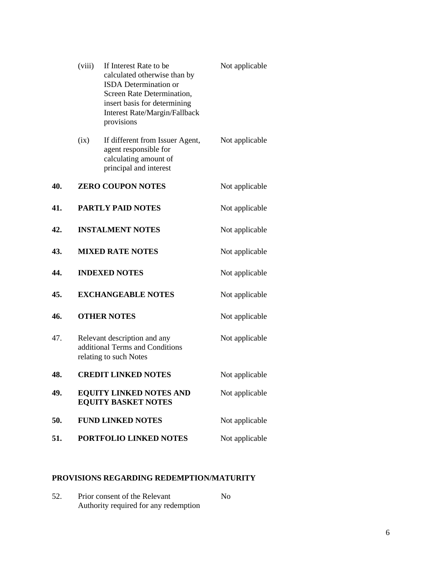|     | (viii)                  | If Interest Rate to be<br>calculated otherwise than by<br><b>ISDA</b> Determination or<br>Screen Rate Determination,<br>insert basis for determining<br>Interest Rate/Margin/Fallback<br>provisions | Not applicable |
|-----|-------------------------|-----------------------------------------------------------------------------------------------------------------------------------------------------------------------------------------------------|----------------|
|     | (ix)                    | If different from Issuer Agent,<br>agent responsible for<br>calculating amount of<br>principal and interest                                                                                         | Not applicable |
| 40. |                         | <b>ZERO COUPON NOTES</b>                                                                                                                                                                            | Not applicable |
| 41. |                         | <b>PARTLY PAID NOTES</b>                                                                                                                                                                            | Not applicable |
| 42. | <b>INSTALMENT NOTES</b> |                                                                                                                                                                                                     | Not applicable |
| 43. | <b>MIXED RATE NOTES</b> |                                                                                                                                                                                                     | Not applicable |
| 44. |                         | <b>INDEXED NOTES</b>                                                                                                                                                                                | Not applicable |
| 45. |                         | <b>EXCHANGEABLE NOTES</b>                                                                                                                                                                           | Not applicable |
| 46. |                         | <b>OTHER NOTES</b>                                                                                                                                                                                  | Not applicable |
| 47. |                         | Relevant description and any<br>additional Terms and Conditions<br>relating to such Notes                                                                                                           | Not applicable |
| 48. |                         | <b>CREDIT LINKED NOTES</b>                                                                                                                                                                          | Not applicable |
| 49. |                         | <b>EQUITY LINKED NOTES AND</b><br><b>EQUITY BASKET NOTES</b>                                                                                                                                        | Not applicable |
| 50. |                         | <b>FUND LINKED NOTES</b>                                                                                                                                                                            | Not applicable |
| 51. |                         | PORTFOLIO LINKED NOTES                                                                                                                                                                              | Not applicable |
|     |                         |                                                                                                                                                                                                     |                |

## **PROVISIONS REGARDING REDEMPTION/MATURITY**

| 52. | Prior consent of the Relevant         |  |
|-----|---------------------------------------|--|
|     | Authority required for any redemption |  |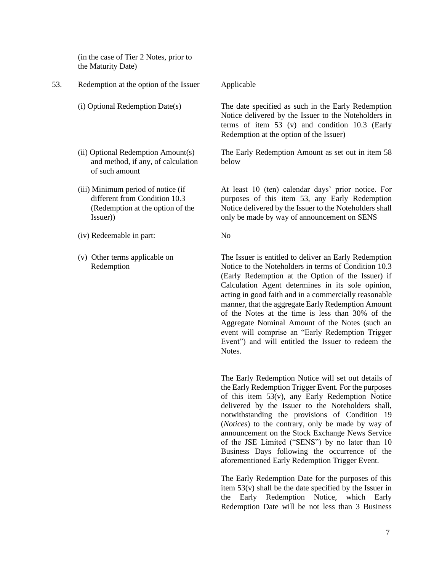(in the case of Tier 2 Notes, prior to the Maturity Date)

- 53. Redemption at the option of the Issuer Applicable (i) Optional Redemption Date(s) The date specified as such in the Early Redemption Redemption at the option of the Issuer) (ii) Optional Redemption Amount(s) and method, if any, of calculation of such amount below (iii) Minimum period of notice (if
	- different from Condition 10.3 (Redemption at the option of the
	- (iv) Redeemable in part: No

Issuer))

(v) Other terms applicable on Redemption

Notice delivered by the Issuer to the Noteholders in terms of item 53 (v) and condition 10.3 (Early

The Early Redemption Amount as set out in item 58

At least 10 (ten) calendar days' prior notice. For purposes of this item 53, any Early Redemption Notice delivered by the Issuer to the Noteholders shall only be made by way of announcement on SENS

The Issuer is entitled to deliver an Early Redemption Notice to the Noteholders in terms of Condition 10.3 (Early Redemption at the Option of the Issuer) if Calculation Agent determines in its sole opinion, acting in good faith and in a commercially reasonable manner, that the aggregate Early Redemption Amount of the Notes at the time is less than 30% of the Aggregate Nominal Amount of the Notes (such an event will comprise an "Early Redemption Trigger Event") and will entitled the Issuer to redeem the Notes.

The Early Redemption Notice will set out details of the Early Redemption Trigger Event. For the purposes of this item 53(v), any Early Redemption Notice delivered by the Issuer to the Noteholders shall, notwithstanding the provisions of Condition 19 (*Notices*) to the contrary, only be made by way of announcement on the Stock Exchange News Service of the JSE Limited ("SENS") by no later than 10 Business Days following the occurrence of the aforementioned Early Redemption Trigger Event.

The Early Redemption Date for the purposes of this item 53(v) shall be the date specified by the Issuer in the Early Redemption Notice, which Early Redemption Date will be not less than 3 Business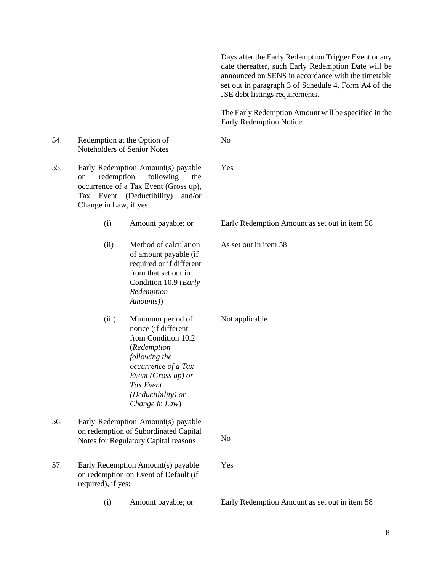|     |                                            |                                                                                                                                                                                                     | Days after the Early Redemption Trigger Event or any<br>date thereafter, such Early Redemption Date will be<br>announced on SENS in accordance with the timetable<br>set out in paragraph 3 of Schedule 4, Form A4 of the<br>JSE debt listings requirements. |
|-----|--------------------------------------------|-----------------------------------------------------------------------------------------------------------------------------------------------------------------------------------------------------|--------------------------------------------------------------------------------------------------------------------------------------------------------------------------------------------------------------------------------------------------------------|
|     |                                            |                                                                                                                                                                                                     | The Early Redemption Amount will be specified in the<br>Early Redemption Notice.                                                                                                                                                                             |
| 54. |                                            | Redemption at the Option of<br>Noteholders of Senior Notes                                                                                                                                          | N <sub>o</sub>                                                                                                                                                                                                                                               |
| 55. | redemption<br>on<br>Change in Law, if yes: | Early Redemption Amount(s) payable<br>following<br>the<br>occurrence of a Tax Event (Gross up),<br>Tax Event (Deductibility)<br>and/or                                                              | Yes                                                                                                                                                                                                                                                          |
|     | (i)                                        | Amount payable; or                                                                                                                                                                                  | Early Redemption Amount as set out in item 58                                                                                                                                                                                                                |
|     | (ii)                                       | Method of calculation<br>of amount payable (if<br>required or if different<br>from that set out in<br>Condition 10.9 (Early<br>Redemption<br>Amounts))                                              | As set out in item 58                                                                                                                                                                                                                                        |
|     | (iii)                                      | Minimum period of<br>notice (if different<br>from Condition 10.2<br>(Redemption<br>following the<br>occurrence of a Tax<br>Event (Gross up) or<br>Tax Event<br>(Deductibility) or<br>Change in Law) | Not applicable                                                                                                                                                                                                                                               |
| 56. |                                            | Early Redemption Amount(s) payable<br>on redemption of Subordinated Capital<br>Notes for Regulatory Capital reasons                                                                                 | N <sub>o</sub>                                                                                                                                                                                                                                               |
| 57. | required), if yes:                         | Early Redemption Amount(s) payable<br>on redemption on Event of Default (if                                                                                                                         | Yes                                                                                                                                                                                                                                                          |
|     | (i)                                        | Amount payable; or                                                                                                                                                                                  | Early Redemption Amount as set out in item 58                                                                                                                                                                                                                |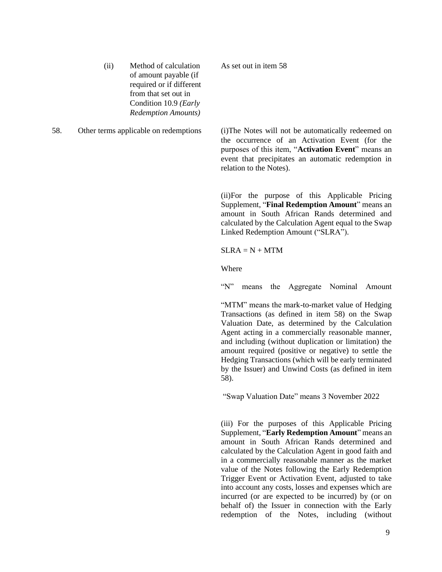- (ii) Method of calculation of amount payable (if required or if different from that set out in Condition 10.9 *(Early Redemption Amounts)*
- 

As set out in item 58

58. Other terms applicable on redemptions (i)The Notes will not be automatically redeemed on the occurrence of an Activation Event (for the purposes of this item, "**Activation Event**" means an event that precipitates an automatic redemption in relation to the Notes).

> (ii)For the purpose of this Applicable Pricing Supplement, "**Final Redemption Amount**" means an amount in South African Rands determined and calculated by the Calculation Agent equal to the Swap Linked Redemption Amount ("SLRA").

 $SLRA = N + MTM$ 

Where

"N" means the Aggregate Nominal Amount

"MTM" means the mark-to-market value of Hedging Transactions (as defined in item 58) on the Swap Valuation Date, as determined by the Calculation Agent acting in a commercially reasonable manner, and including (without duplication or limitation) the amount required (positive or negative) to settle the Hedging Transactions (which will be early terminated by the Issuer) and Unwind Costs (as defined in item 58).

"Swap Valuation Date" means 3 November 2022

(iii) For the purposes of this Applicable Pricing Supplement, "**Early Redemption Amount**" means an amount in South African Rands determined and calculated by the Calculation Agent in good faith and in a commercially reasonable manner as the market value of the Notes following the Early Redemption Trigger Event or Activation Event, adjusted to take into account any costs, losses and expenses which are incurred (or are expected to be incurred) by (or on behalf of) the Issuer in connection with the Early redemption of the Notes, including (without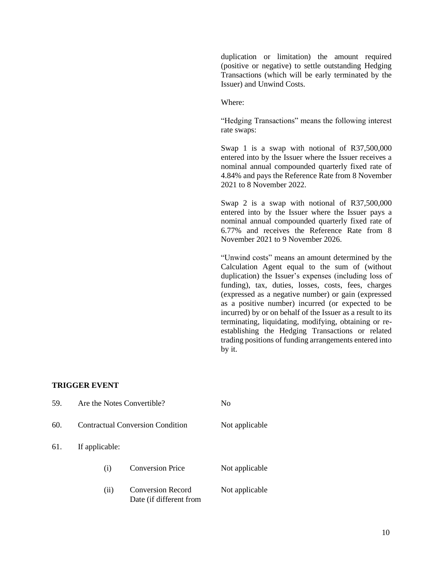duplication or limitation) the amount required (positive or negative) to settle outstanding Hedging Transactions (which will be early terminated by the Issuer) and Unwind Costs.

Where:

"Hedging Transactions" means the following interest rate swaps:

Swap 1 is a swap with notional of R37,500,000 entered into by the Issuer where the Issuer receives a nominal annual compounded quarterly fixed rate of 4.84% and pays the Reference Rate from 8 November 2021 to 8 November 2022.

Swap 2 is a swap with notional of R37,500,000 entered into by the Issuer where the Issuer pays a nominal annual compounded quarterly fixed rate of 6.77% and receives the Reference Rate from 8 November 2021 to 9 November 2026.

"Unwind costs" means an amount determined by the Calculation Agent equal to the sum of (without duplication) the Issuer's expenses (including loss of funding), tax, duties, losses, costs, fees, charges (expressed as a negative number) or gain (expressed as a positive number) incurred (or expected to be incurred) by or on behalf of the Issuer as a result to its terminating, liquidating, modifying, obtaining or reestablishing the Hedging Transactions or related trading positions of funding arrangements entered into by it.

#### **TRIGGER EVENT**

| 59. | Are the Notes Convertible?              |                                                     | No             |
|-----|-----------------------------------------|-----------------------------------------------------|----------------|
| 60. | <b>Contractual Conversion Condition</b> |                                                     | Not applicable |
| 61. | If applicable:                          |                                                     |                |
|     | (i)                                     | <b>Conversion Price</b>                             | Not applicable |
|     | (ii)                                    | <b>Conversion Record</b><br>Date (if different from | Not applicable |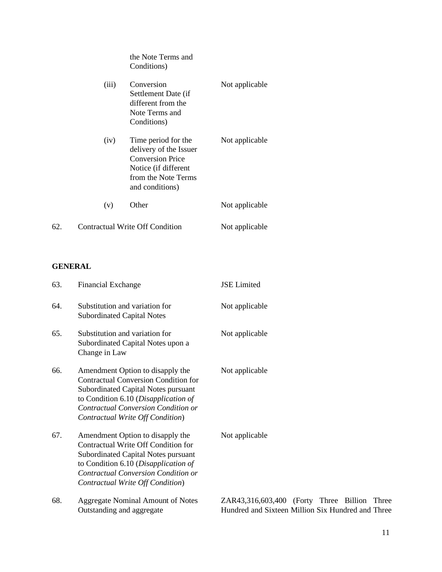|     |       | the Note Terms and<br>Conditions)                                                                                                          |                |
|-----|-------|--------------------------------------------------------------------------------------------------------------------------------------------|----------------|
|     | (iii) | Conversion<br>Settlement Date (if<br>different from the<br>Note Terms and<br>Conditions)                                                   | Not applicable |
|     | (iv)  | Time period for the<br>delivery of the Issuer<br><b>Conversion Price</b><br>Notice (if different<br>from the Note Terms<br>and conditions) | Not applicable |
|     | (v)   | Other                                                                                                                                      | Not applicable |
| 62. |       | Contractual Write Off Condition                                                                                                            | Not applicable |

# **GENERAL**

| 63. | <b>Financial Exchange</b>                                                                                                                                                                                                                 | <b>JSE</b> Limited                                                                                |
|-----|-------------------------------------------------------------------------------------------------------------------------------------------------------------------------------------------------------------------------------------------|---------------------------------------------------------------------------------------------------|
| 64. | Substitution and variation for<br><b>Subordinated Capital Notes</b>                                                                                                                                                                       | Not applicable                                                                                    |
| 65. | Substitution and variation for<br>Subordinated Capital Notes upon a<br>Change in Law                                                                                                                                                      | Not applicable                                                                                    |
| 66. | Amendment Option to disapply the<br><b>Contractual Conversion Condition for</b><br>Subordinated Capital Notes pursuant<br>to Condition 6.10 (Disapplication of<br>Contractual Conversion Condition or<br>Contractual Write Off Condition) | Not applicable                                                                                    |
| 67. | Amendment Option to disapply the<br>Contractual Write Off Condition for<br><b>Subordinated Capital Notes pursuant</b><br>to Condition 6.10 (Disapplication of<br>Contractual Conversion Condition or<br>Contractual Write Off Condition)  | Not applicable                                                                                    |
| 68. | <b>Aggregate Nominal Amount of Notes</b><br>Outstanding and aggregate                                                                                                                                                                     | ZAR43,316,603,400 (Forty Three Billion Three<br>Hundred and Sixteen Million Six Hundred and Three |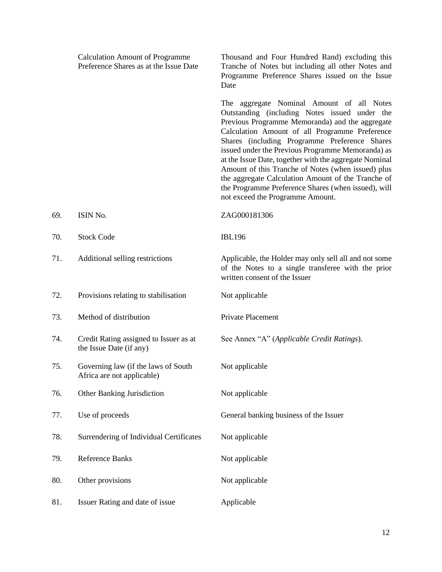|     | <b>Calculation Amount of Programme</b><br>Preference Shares as at the Issue Date | Thousand and Four Hundred Rand) excluding this<br>Tranche of Notes but including all other Notes and<br>Programme Preference Shares issued on the Issue<br>Date                                                                                                                                                                                                                                                                                                                                                                                                        |
|-----|----------------------------------------------------------------------------------|------------------------------------------------------------------------------------------------------------------------------------------------------------------------------------------------------------------------------------------------------------------------------------------------------------------------------------------------------------------------------------------------------------------------------------------------------------------------------------------------------------------------------------------------------------------------|
|     |                                                                                  | The aggregate Nominal Amount of all Notes<br>Outstanding (including Notes issued under the<br>Previous Programme Memoranda) and the aggregate<br>Calculation Amount of all Programme Preference<br>Shares (including Programme Preference Shares<br>issued under the Previous Programme Memoranda) as<br>at the Issue Date, together with the aggregate Nominal<br>Amount of this Tranche of Notes (when issued) plus<br>the aggregate Calculation Amount of the Tranche of<br>the Programme Preference Shares (when issued), will<br>not exceed the Programme Amount. |
| 69. | ISIN No.                                                                         | ZAG000181306                                                                                                                                                                                                                                                                                                                                                                                                                                                                                                                                                           |
| 70. | <b>Stock Code</b>                                                                | <b>IBL196</b>                                                                                                                                                                                                                                                                                                                                                                                                                                                                                                                                                          |
| 71. | Additional selling restrictions                                                  | Applicable, the Holder may only sell all and not some<br>of the Notes to a single transferee with the prior<br>written consent of the Issuer                                                                                                                                                                                                                                                                                                                                                                                                                           |
| 72. | Provisions relating to stabilisation                                             | Not applicable                                                                                                                                                                                                                                                                                                                                                                                                                                                                                                                                                         |
| 73. | Method of distribution                                                           | Private Placement                                                                                                                                                                                                                                                                                                                                                                                                                                                                                                                                                      |
| 74. | Credit Rating assigned to Issuer as at<br>the Issue Date (if any)                | See Annex "A" (Applicable Credit Ratings).                                                                                                                                                                                                                                                                                                                                                                                                                                                                                                                             |
| 75. | Governing law (if the laws of South<br>Africa are not applicable)                | Not applicable                                                                                                                                                                                                                                                                                                                                                                                                                                                                                                                                                         |
| 76. | Other Banking Jurisdiction                                                       | Not applicable                                                                                                                                                                                                                                                                                                                                                                                                                                                                                                                                                         |
| 77. | Use of proceeds                                                                  | General banking business of the Issuer                                                                                                                                                                                                                                                                                                                                                                                                                                                                                                                                 |
| 78. | Surrendering of Individual Certificates                                          | Not applicable                                                                                                                                                                                                                                                                                                                                                                                                                                                                                                                                                         |
| 79. | Reference Banks                                                                  | Not applicable                                                                                                                                                                                                                                                                                                                                                                                                                                                                                                                                                         |
| 80. | Other provisions                                                                 | Not applicable                                                                                                                                                                                                                                                                                                                                                                                                                                                                                                                                                         |
| 81. | Issuer Rating and date of issue                                                  | Applicable                                                                                                                                                                                                                                                                                                                                                                                                                                                                                                                                                             |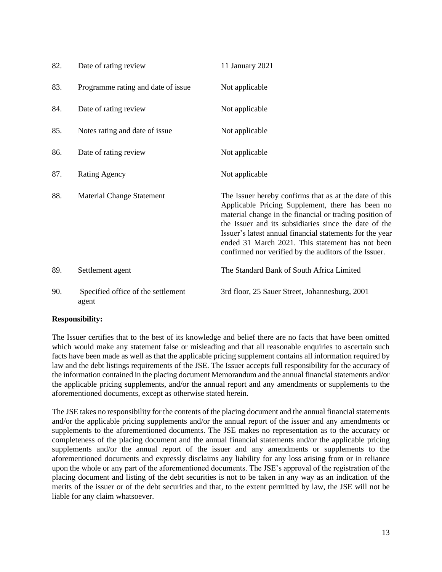| 82. | Date of rating review                       | 11 January 2021                                                                                                                                                                                                                                                                                                                                                                                         |
|-----|---------------------------------------------|---------------------------------------------------------------------------------------------------------------------------------------------------------------------------------------------------------------------------------------------------------------------------------------------------------------------------------------------------------------------------------------------------------|
| 83. | Programme rating and date of issue          | Not applicable                                                                                                                                                                                                                                                                                                                                                                                          |
| 84. | Date of rating review                       | Not applicable                                                                                                                                                                                                                                                                                                                                                                                          |
| 85. | Notes rating and date of issue              | Not applicable                                                                                                                                                                                                                                                                                                                                                                                          |
| 86. | Date of rating review                       | Not applicable                                                                                                                                                                                                                                                                                                                                                                                          |
| 87. | <b>Rating Agency</b>                        | Not applicable                                                                                                                                                                                                                                                                                                                                                                                          |
| 88. | <b>Material Change Statement</b>            | The Issuer hereby confirms that as at the date of this<br>Applicable Pricing Supplement, there has been no<br>material change in the financial or trading position of<br>the Issuer and its subsidiaries since the date of the<br>Issuer's latest annual financial statements for the year<br>ended 31 March 2021. This statement has not been<br>confirmed nor verified by the auditors of the Issuer. |
| 89. | Settlement agent                            | The Standard Bank of South Africa Limited                                                                                                                                                                                                                                                                                                                                                               |
| 90. | Specified office of the settlement<br>agent | 3rd floor, 25 Sauer Street, Johannesburg, 2001                                                                                                                                                                                                                                                                                                                                                          |

### **Responsibility:**

The Issuer certifies that to the best of its knowledge and belief there are no facts that have been omitted which would make any statement false or misleading and that all reasonable enquiries to ascertain such facts have been made as well as that the applicable pricing supplement contains all information required by law and the debt listings requirements of the JSE. The Issuer accepts full responsibility for the accuracy of the information contained in the placing document Memorandum and the annual financial statements and/or the applicable pricing supplements, and/or the annual report and any amendments or supplements to the aforementioned documents, except as otherwise stated herein.

The JSE takes no responsibility for the contents of the placing document and the annual financial statements and/or the applicable pricing supplements and/or the annual report of the issuer and any amendments or supplements to the aforementioned documents. The JSE makes no representation as to the accuracy or completeness of the placing document and the annual financial statements and/or the applicable pricing supplements and/or the annual report of the issuer and any amendments or supplements to the aforementioned documents and expressly disclaims any liability for any loss arising from or in reliance upon the whole or any part of the aforementioned documents. The JSE's approval of the registration of the placing document and listing of the debt securities is not to be taken in any way as an indication of the merits of the issuer or of the debt securities and that, to the extent permitted by law, the JSE will not be liable for any claim whatsoever.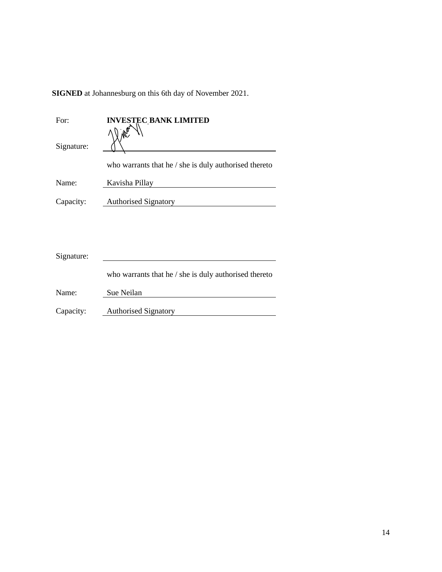**SIGNED** at Johannesburg on this 6th day of November 2021.

| For:       | <b>INVESTEC BANK LIMITED</b>                                 |
|------------|--------------------------------------------------------------|
| Signature: |                                                              |
|            | who warrants that he $\prime$ she is duly authorised thereto |
| Name:      | Kavisha Pillay                                               |
| Capacity:  | <b>Authorised Signatory</b>                                  |
|            |                                                              |
|            |                                                              |
|            |                                                              |
| Signature: |                                                              |
|            | who warrants that he / she is duly authorised thereto        |
| Name:      | Sue Neilan                                                   |
| Capacity:  | <b>Authorised Signatory</b>                                  |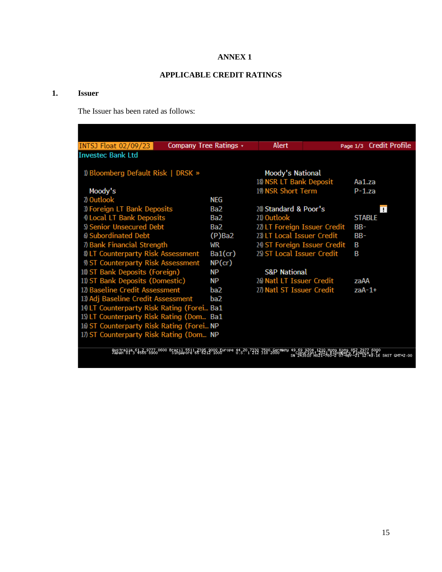### **ANNEX 1**

## **APPLICABLE CREDIT RATINGS**

### **1. Issuer**

The Issuer has been rated as follows:

| INTSJ Float 02/09/23                                                                                                                                                                                                                                      | Company Tree Ratings * | Alert                        |  |               | Page 1/3 Credit Profile |  |  |
|-----------------------------------------------------------------------------------------------------------------------------------------------------------------------------------------------------------------------------------------------------------|------------------------|------------------------------|--|---------------|-------------------------|--|--|
| <b>Invested Bank Ltd</b>                                                                                                                                                                                                                                  |                        |                              |  |               |                         |  |  |
|                                                                                                                                                                                                                                                           |                        |                              |  |               |                         |  |  |
| 1) Bloomberg Default Risk   DRSK »                                                                                                                                                                                                                        |                        | Moody's National             |  |               |                         |  |  |
|                                                                                                                                                                                                                                                           |                        | 18) NSR LT Bank Deposit      |  | Aa1.za        |                         |  |  |
| Moody's                                                                                                                                                                                                                                                   |                        | 19) NSR Short Term           |  | $P-1.7a$      |                         |  |  |
| 2) Outlook                                                                                                                                                                                                                                                | NEG                    |                              |  |               |                         |  |  |
| 3) Foreign LT Bank Deposits                                                                                                                                                                                                                               | Ba2                    | 20 Standard & Poor's         |  |               | П                       |  |  |
| 4 Local LT Bank Deposits                                                                                                                                                                                                                                  | Ba2                    | 21) Outlook                  |  | <b>STABLE</b> |                         |  |  |
| 5) Senior Unsecured Debt                                                                                                                                                                                                                                  | Ba2                    | 22) LT Foreign Issuer Credit |  | BB-           |                         |  |  |
| 6 Subordinated Debt                                                                                                                                                                                                                                       | $(P)$ Ba2              | 23) LT Local Issuer Credit   |  | $BB-$         |                         |  |  |
| 7) Bank Financial Strength                                                                                                                                                                                                                                | WR                     | 24) ST Foreign Issuer Credit |  | B             |                         |  |  |
| <b>8) LT Counterparty Risk Assessment</b>                                                                                                                                                                                                                 | Ba1(cr)                | 25) ST Local Issuer Credit   |  | B             |                         |  |  |
| 9) ST Counterparty Risk Assessment                                                                                                                                                                                                                        | NP(cr)                 |                              |  |               |                         |  |  |
| 10) ST Bank Deposits (Foreign)                                                                                                                                                                                                                            | ΝP                     | <b>S&amp;P National</b>      |  |               |                         |  |  |
| 11) ST Bank Deposits (Domestic)                                                                                                                                                                                                                           | ΝP                     | 26) Natl LT Issuer Credit    |  | zaAA          |                         |  |  |
| 12) Baseline Credit Assessment                                                                                                                                                                                                                            | ba2                    | 27) Natl ST Issuer Credit    |  | $2aA-1+$      |                         |  |  |
| 13) Adj Baseline Credit Assessment                                                                                                                                                                                                                        | ba2                    |                              |  |               |                         |  |  |
| 14 LT Counterparty Risk Rating (Forei Ba1                                                                                                                                                                                                                 |                        |                              |  |               |                         |  |  |
| 15) LT Counterparty Risk Rating (Dom Ba1                                                                                                                                                                                                                  |                        |                              |  |               |                         |  |  |
| 16 ST Counterparty Risk Rating (Forei NP                                                                                                                                                                                                                  |                        |                              |  |               |                         |  |  |
| 17) ST Counterparty Risk Rating (Dom NP                                                                                                                                                                                                                   |                        |                              |  |               |                         |  |  |
|                                                                                                                                                                                                                                                           |                        |                              |  |               |                         |  |  |
| 0ustralia 61 2 9777 8600 Brazil 5511 2395 9000 Europe 44 20 7330 7500 Germany<br>Japan 81 3 4565 8900 5 Singapore 65 8212 1000 1 5 - 1 312 318 2000<br>49.69 9204, 1210 Hong Kong 852 2977 Buyu<br>SN 243810 H821-760-2 07 Hpr -21 12:49:16 SAST GMT+2:00 |                        |                              |  |               |                         |  |  |